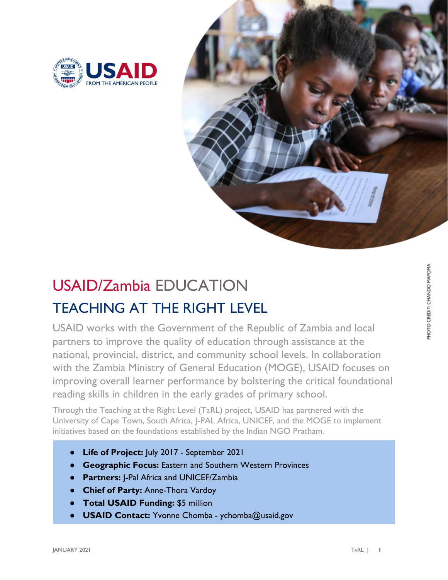



## USAID/Zambia EDUCATION TEACHING AT THE RIGHT LEVEL

USAID works with the Government of the Republic of Zambia and local partners to improve the quality of education through assistance at the national, provincial, district, and community school levels. In collaboration with the Zambia Ministry of General Education (MOGE), USAID focuses on improving overall learner performance by bolstering the critical foundational reading skills in children in the early grades of primary school.

Through the Teaching at the Right Level (TaRL) project, USAID has partnered with the University of Cape Town, South Africa, J-PAL Africa, UNICEF, and the MOGE to implement initiatives based on the foundations established by the Indian NGO Pratham.

- Life of Project: July 2017 September 2021
- **Geographic Focus:** Eastern and Southern Western Provinces
- **Partners: J-Pal Africa and UNICEF/Zambia**
- **Chief of Party: Anne-Thora Vardoy**
- **Total USAID Funding: \$5 million**
- **USAID Contact:** Yvonne Chomba ychomba@usaid.gov